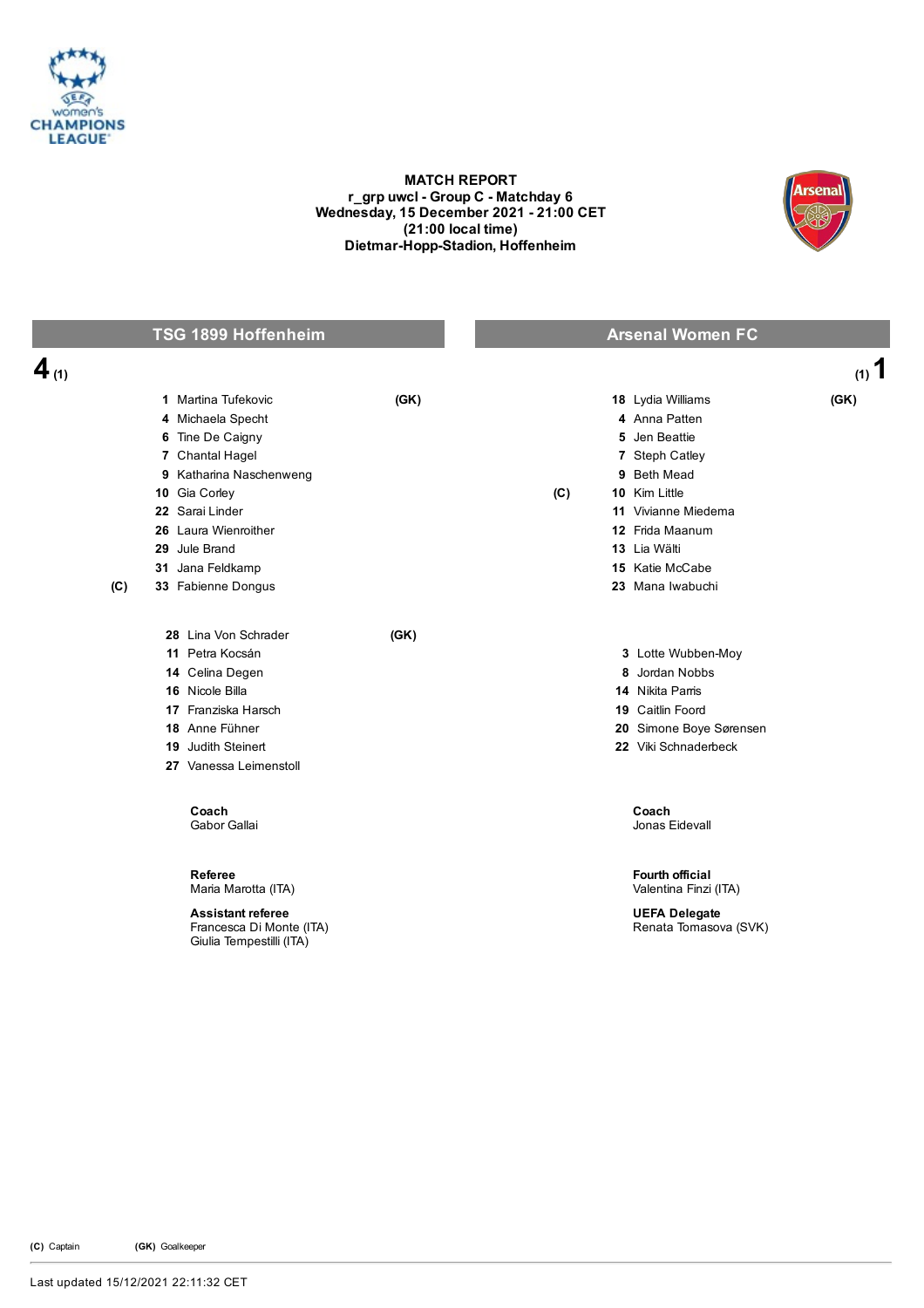

## MATCH REPORT r\_grp uwcl - Group C - Matchday 6 Wednesday, 15 December 2021 - 21:00 CET (21:00 local time) Dietmar-Hopp-Stadion, Hoffenheim



## **TSG 1899 Hoffenheim Arsenal Women FC** 4  $(1)$ 1 Martina Tufekovic (GK) 4 Michaela Specht 6 Tine De Caigny 7 Chantal Hagel 9 Katharina Naschenweng 10 Gia Corley 22 Sarai Linder 26 Laura Wienroither 29 Jule Brand 31 Jana Feldkamp (C) 33 Fabienne Dongus 18 Lydia Williams (GK) 4 Anna Patten 5 Jen Beattie 7 Steph Catley 9 Beth Mead (C) 10 Kim Little 11 Vivianne Miedema 12 Frida Maanum 13 Lia Wälti 15 Katie McCabe 23 Mana Iwabuchi 28 Lina Von Schrader (GK) 11 Petra Kocsán 14 Celina Degen 16 Nicole Billa 17 Franziska Harsch 18 Anne Fühner 19 Judith Steinert 27 Vanessa Leimenstoll 3 Lotte Wubben-Moy 8 Jordan Nobbs 14 Nikita Parris 19 Caitlin Foord 20 Simone Boye Sørensen 22 Viki Schnaderbeck Coach Gabor Gallai Coach Jonas Eidevall Referee Maria Marotta (ITA) Fourth official Valentina Finzi (ITA) Assistant referee Francesca Di Monte (ITA) Giulia Tempestilli (ITA) UEFA Delegate Renata Tomasova (SVK)